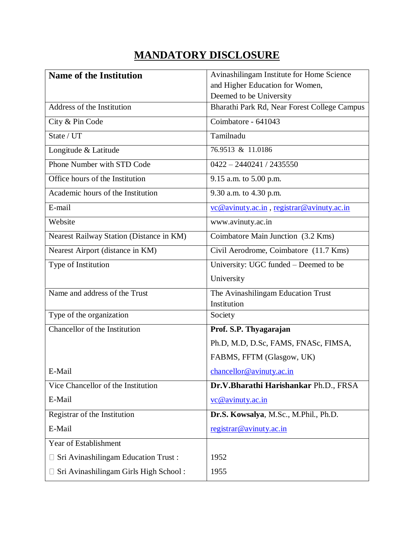## **MANDATORY DISCLOSURE**

| <b>Name of the Institution</b>           | Avinashilingam Institute for Home Science                  |
|------------------------------------------|------------------------------------------------------------|
|                                          | and Higher Education for Women,                            |
|                                          | Deemed to be University                                    |
| Address of the Institution               | Bharathi Park Rd, Near Forest College Campus               |
| City & Pin Code                          | Coimbatore - 641043                                        |
| State / UT                               | Tamilnadu                                                  |
| Longitude & Latitude                     | 76.9513 & 11.0186                                          |
| Phone Number with STD Code               | $0422 - 2440241 / 2435550$                                 |
| Office hours of the Institution          | 9.15 a.m. to 5.00 p.m.                                     |
| Academic hours of the Institution        | 9.30 a.m. to 4.30 p.m.                                     |
| E-mail                                   | $\underline{v}$ c @avinuty.ac.in, registrar @avinuty.ac.in |
| Website                                  | www.avinuty.ac.in                                          |
| Nearest Railway Station (Distance in KM) | Coimbatore Main Junction (3.2 Kms)                         |
| Nearest Airport (distance in KM)         | Civil Aerodrome, Coimbatore (11.7 Kms)                     |
| Type of Institution                      | University: UGC funded – Deemed to be                      |
|                                          | University                                                 |
| Name and address of the Trust            | The Avinashilingam Education Trust<br>Institution          |
| Type of the organization                 | Society                                                    |
| Chancellor of the Institution            | Prof. S.P. Thyagarajan                                     |
|                                          | Ph.D, M.D, D.Sc, FAMS, FNASc, FIMSA,                       |
|                                          | FABMS, FFTM (Glasgow, UK)                                  |
| E-Mail                                   | chancellor@avinuty.ac.in                                   |
| Vice Chancellor of the Institution       | Dr.V.Bharathi Harishankar Ph.D., FRSA                      |
| E-Mail                                   | vc@avinuty.ac.in                                           |
| Registrar of the Institution             | Dr.S. Kowsalya, M.Sc., M.Phil., Ph.D.                      |
| E-Mail                                   | registrar@avinuty.ac.in                                    |
| Year of Establishment                    |                                                            |
| Sri Avinashilingam Education Trust:      | 1952                                                       |
| Sri Avinashilingam Girls High School:    | 1955                                                       |